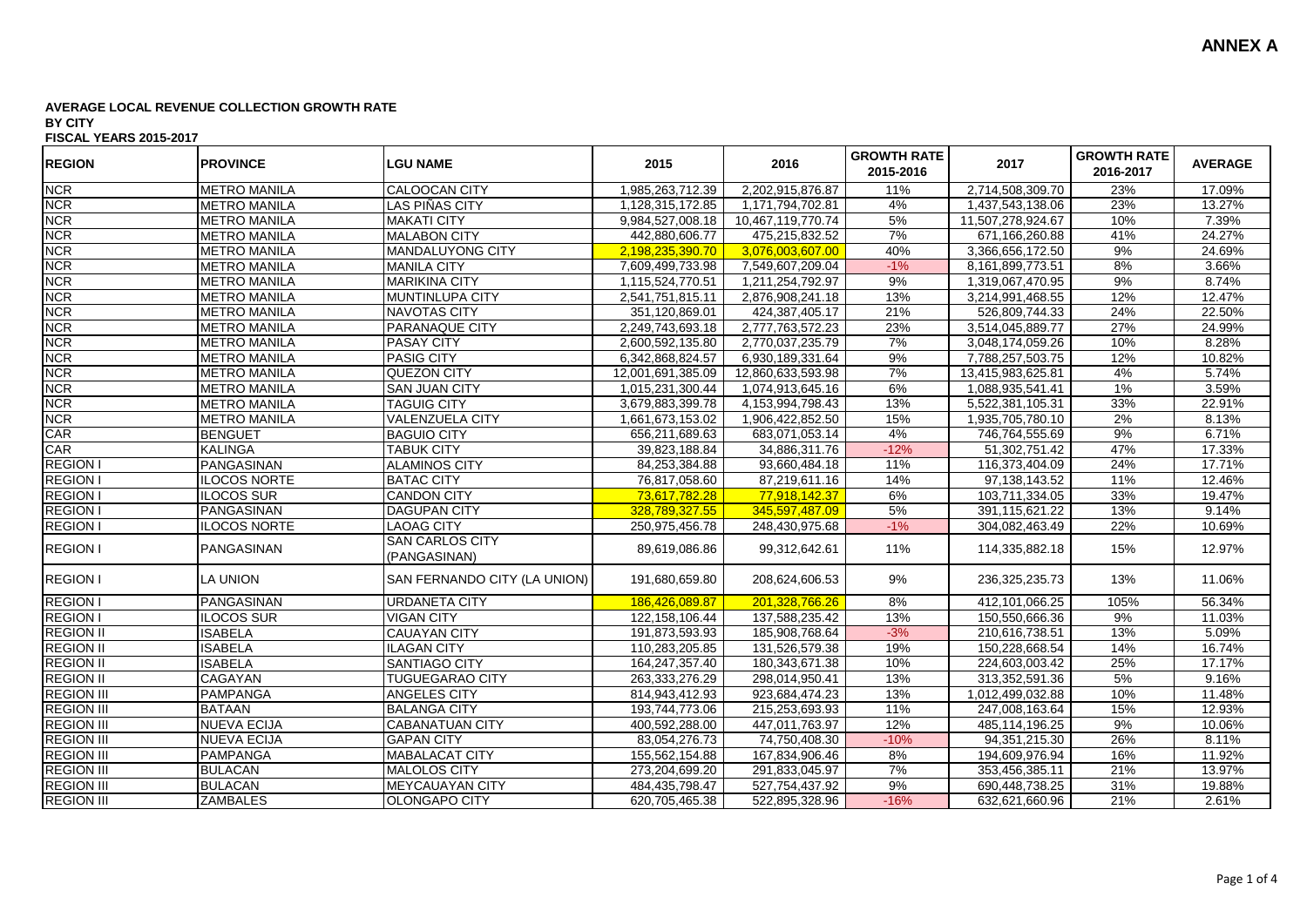| <b>REGION</b>     | <b>PROVINCE</b>     | <b>LGU NAME</b>                        | 2015              | 2016              | <b>GROWTH RATE</b><br>2015-2016 | 2017              | <b>GROWTH RATE</b><br>2016-2017 | <b>AVERAGE</b> |
|-------------------|---------------------|----------------------------------------|-------------------|-------------------|---------------------------------|-------------------|---------------------------------|----------------|
| <b>NCR</b>        | <b>METRO MANILA</b> | CALOOCAN CITY                          | 1,985,263,712.39  | 2,202,915,876.87  | 11%                             | 2,714,508,309.70  | 23%                             | 17.09%         |
| <b>NCR</b>        | <b>METRO MANILA</b> | LAS PIÑAS CITY                         | 1,128,315,172.85  | 1,171,794,702.81  | 4%                              | 1,437,543,138.06  | 23%                             | 13.27%         |
| <b>NCR</b>        | <b>METRO MANILA</b> | <b>MAKATI CITY</b>                     | 9,984,527,008.18  | 10,467,119,770.74 | 5%                              | 11,507,278,924.67 | 10%                             | 7.39%          |
| <b>NCR</b>        | <b>METRO MANILA</b> | <b>MALABON CITY</b>                    | 442,880,606.77    | 475,215,832.52    | 7%                              | 671,166,260.88    | 41%                             | 24.27%         |
| <b>NCR</b>        | <b>METRO MANILA</b> | <b>MANDALUYONG CITY</b>                | 2,198,235,390.70  | 3,076,003,607.00  | 40%                             | 3,366,656,172.50  | 9%                              | 24.69%         |
| <b>NCR</b>        | <b>METRO MANILA</b> | <b>MANILA CITY</b>                     | 7,609,499,733.98  | 7,549,607,209.04  | $-1%$                           | 8,161,899,773.51  | 8%                              | 3.66%          |
| <b>NCR</b>        | <b>METRO MANILA</b> | <b>MARIKINA CITY</b>                   | 1,115,524,770.51  | 1,211,254,792.97  | 9%                              | 1,319,067,470.95  | 9%                              | 8.74%          |
| <b>NCR</b>        | <b>METRO MANILA</b> | MUNTINLUPA CITY                        | 2,541,751,815.11  | 2,876,908,241.18  | 13%                             | 3,214,991,468.55  | 12%                             | 12.47%         |
| <b>NCR</b>        | <b>METRO MANILA</b> | <b>NAVOTAS CITY</b>                    | 351,120,869.01    | 424,387,405.17    | 21%                             | 526,809,744.33    | 24%                             | 22.50%         |
| <b>NCR</b>        | <b>METRO MANILA</b> | PARANAQUE CITY                         | 2,249,743,693.18  | 2,777,763,572.23  | 23%                             | 3,514,045,889.77  | 27%                             | 24.99%         |
| <b>NCR</b>        | <b>METRO MANILA</b> | <b>PASAY CITY</b>                      | 2,600,592,135.80  | 2,770,037,235.79  | 7%                              | 3,048,174,059.26  | 10%                             | 8.28%          |
| <b>NCR</b>        | <b>METRO MANILA</b> | <b>PASIG CITY</b>                      | 6,342,868,824.57  | 6,930,189,331.64  | 9%                              | 7,788,257,503.75  | 12%                             | 10.82%         |
| <b>NCR</b>        | <b>METRO MANILA</b> | <b>QUEZON CITY</b>                     | 12,001,691,385.09 | 12,860,633,593.98 | 7%                              | 13,415,983,625.81 | 4%                              | 5.74%          |
| <b>NCR</b>        | <b>METRO MANILA</b> | <b>SAN JUAN CITY</b>                   | 1,015,231,300.44  | 1,074,913,645.16  | 6%                              | 1,088,935,541.41  | 1%                              | 3.59%          |
| <b>NCR</b>        | <b>METRO MANILA</b> | <b>TAGUIG CITY</b>                     | 3,679,883,399.78  | 4,153,994,798.43  | 13%                             | 5,522,381,105.31  | 33%                             | 22.91%         |
| <b>NCR</b>        | <b>METRO MANILA</b> | <b>VALENZUELA CITY</b>                 | 1,661,673,153.02  | 1,906,422,852.50  | 15%                             | 1,935,705,780.10  | 2%                              | 8.13%          |
| CAR               | <b>BENGUET</b>      | <b>BAGUIO CITY</b>                     | 656,211,689.63    | 683,071,053.14    | 4%                              | 746,764,555.69    | 9%                              | 6.71%          |
| CAR               | <b>KALINGA</b>      | <b>TABUK CITY</b>                      | 39,823,188.84     | 34,886,311.76     | $-12%$                          | 51,302,751.42     | 47%                             | 17.33%         |
| <b>REGION I</b>   | PANGASINAN          | <b>ALAMINOS CITY</b>                   | 84,253,384.88     | 93,660,484.18     | 11%                             | 116,373,404.09    | 24%                             | 17.71%         |
| <b>REGION I</b>   | <b>ILOCOS NORTE</b> | <b>BATAC CITY</b>                      | 76,817,058.60     | 87,219,611.16     | 14%                             | 97, 138, 143.52   | 11%                             | 12.46%         |
| <b>REGION I</b>   | <b>ILOCOS SUR</b>   | <b>CANDON CITY</b>                     | 73,617,782.28     | 77,918,142.37     | 6%                              | 103,711,334.05    | 33%                             | 19.47%         |
| <b>REGION I</b>   | PANGASINAN          | <b>DAGUPAN CITY</b>                    | 328,789,327.55    | 345,597,487.09    | 5%                              | 391,115,621.22    | 13%                             | 9.14%          |
| <b>REGION I</b>   | <b>ILOCOS NORTE</b> | <b>LAOAG CITY</b>                      | 250,975,456.78    | 248,430,975.68    | $-1%$                           | 304,082,463.49    | 22%                             | 10.69%         |
| <b>REGION I</b>   | PANGASINAN          | <b>SAN CARLOS CITY</b><br>(PANGASINAN) | 89,619,086.86     | 99,312,642.61     | 11%                             | 114,335,882.18    | 15%                             | 12.97%         |
| <b>REGION I</b>   | <b>LA UNION</b>     | SAN FERNANDO CITY (LA UNION)           | 191,680,659.80    | 208,624,606.53    | 9%                              | 236,325,235.73    | 13%                             | 11.06%         |
| <b>REGION I</b>   | PANGASINAN          | <b>URDANETA CITY</b>                   | 186,426,089.87    | 201.328.766.26    | 8%                              | 412,101,066.25    | 105%                            | 56.34%         |
| <b>REGION I</b>   | ILOCOS SUR          | <b>VIGAN CITY</b>                      | 122, 158, 106.44  | 137,588,235.42    | 13%                             | 150,550,666.36    | 9%                              | 11.03%         |
| <b>REGION II</b>  | <b>ISABELA</b>      | <b>CAUAYAN CITY</b>                    | 191,873,593.93    | 185,908,768.64    | $-3%$                           | 210,616,738.51    | 13%                             | 5.09%          |
| <b>REGION II</b>  | <b>ISABELA</b>      | <b>ILAGAN CITY</b>                     | 110,283,205.85    | 131,526,579.38    | 19%                             | 150,228,668.54    | 14%                             | 16.74%         |
| <b>REGION II</b>  | <b>ISABELA</b>      | <b>SANTIAGO CITY</b>                   | 164,247,357.40    | 180,343,671.38    | 10%                             | 224,603,003.42    | 25%                             | 17.17%         |
| <b>REGION II</b>  | CAGAYAN             | <b>TUGUEGARAO CITY</b>                 | 263,333,276.29    | 298,014,950.41    | 13%                             | 313,352,591.36    | 5%                              | 9.16%          |
| <b>REGION III</b> | <b>PAMPANGA</b>     | <b>ANGELES CITY</b>                    | 814,943,412.93    | 923,684,474.23    | 13%                             | 1,012,499,032.88  | 10%                             | 11.48%         |
| <b>REGION III</b> | <b>BATAAN</b>       | <b>BALANGA CITY</b>                    | 193,744,773.06    | 215,253,693.93    | 11%                             | 247,008,163.64    | 15%                             | 12.93%         |
| <b>REGION III</b> | <b>NUEVA ECIJA</b>  | <b>CABANATUAN CITY</b>                 | 400,592,288.00    | 447,011,763.97    | 12%                             | 485,114,196.25    | 9%                              | 10.06%         |
| <b>REGION III</b> | <b>NUEVA ECIJA</b>  | <b>GAPAN CITY</b>                      | 83,054,276.73     | 74,750,408.30     | $-10%$                          | 94, 351, 215. 30  | 26%                             | 8.11%          |
| <b>REGION III</b> | <b>PAMPANGA</b>     | MABALACAT CITY                         | 155,562,154.88    | 167,834,906.46    | 8%                              | 194,609,976.94    | 16%                             | 11.92%         |
| <b>REGION III</b> | <b>BULACAN</b>      | <b>MALOLOS CITY</b>                    | 273,204,699.20    | 291,833,045.97    | 7%                              | 353,456,385.11    | 21%                             | 13.97%         |
| <b>REGION III</b> | <b>BULACAN</b>      | <b>MEYCAUAYAN CITY</b>                 | 484,435,798.47    | 527,754,437.92    | 9%                              | 690,448,738.25    | 31%                             | 19.88%         |
| <b>REGION III</b> | <b>ZAMBALES</b>     | <b>OLONGAPO CITY</b>                   | 620,705,465.38    | 522,895,328.96    | $-16%$                          | 632,621,660.96    | 21%                             | 2.61%          |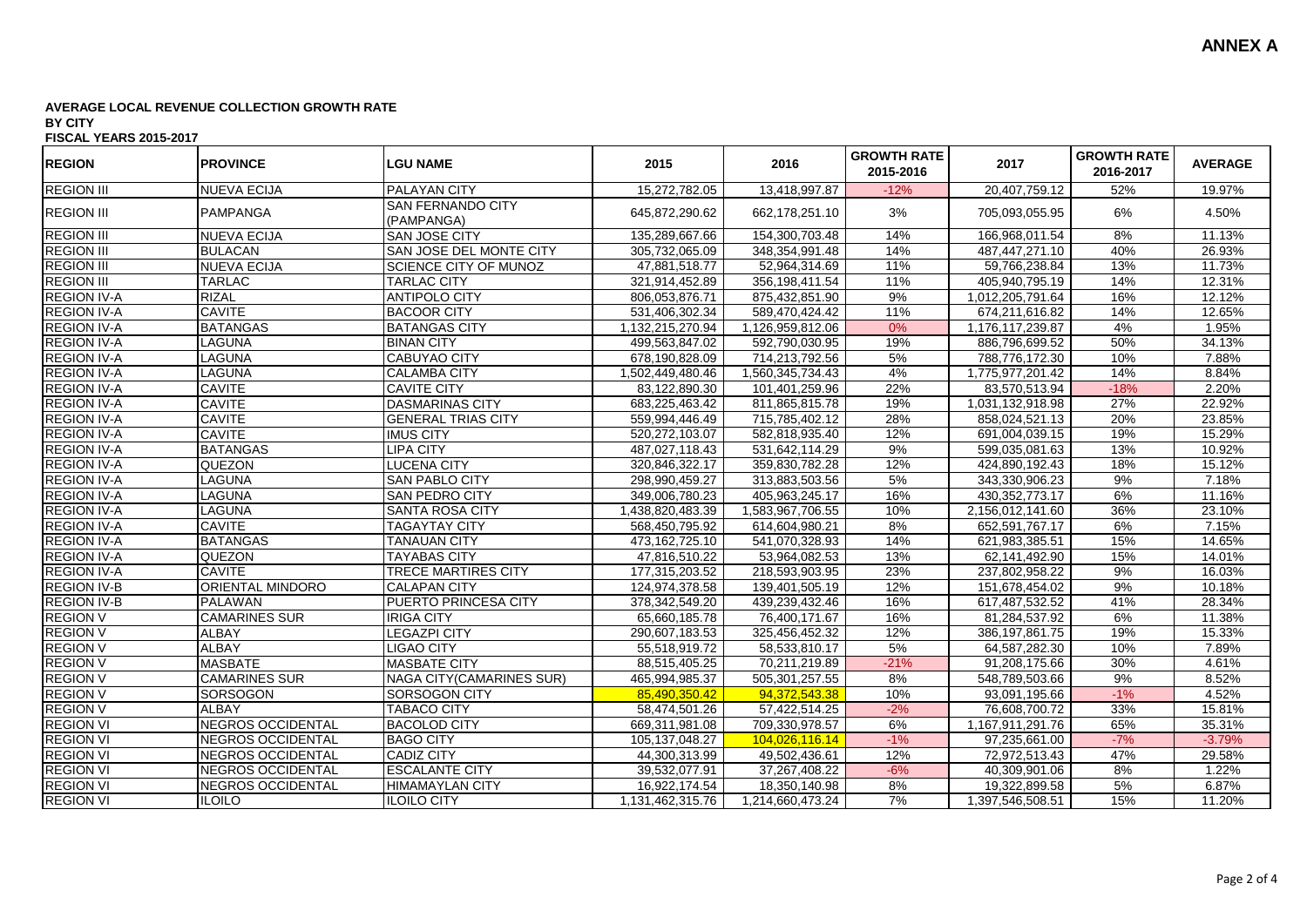| <b>REGION</b>      | <b>PROVINCE</b>          | <b>LGU NAME</b>                        | 2015             | 2016             | <b>GROWTH RATE</b><br>2015-2016 | 2017              | <b>GROWTH RATE</b><br>2016-2017 | <b>AVERAGE</b> |
|--------------------|--------------------------|----------------------------------------|------------------|------------------|---------------------------------|-------------------|---------------------------------|----------------|
| <b>REGION III</b>  | <b>NUEVA ECIJA</b>       | <b>PALAYAN CITY</b>                    | 15,272,782.05    | 13,418,997.87    | $-12%$                          | 20,407,759.12     | 52%                             | 19.97%         |
| <b>REGION III</b>  | <b>PAMPANGA</b>          | <b>SAN FERNANDO CITY</b><br>(PAMPANGA) | 645,872,290.62   | 662,178,251.10   | 3%                              | 705,093,055.95    | 6%                              | 4.50%          |
| <b>REGION III</b>  | <b>NUEVA ECIJA</b>       | SAN JOSE CITY                          | 135,289,667.66   | 154,300,703.48   | 14%                             | 166,968,011.54    | 8%                              | 11.13%         |
| <b>REGION III</b>  | <b>BULACAN</b>           | SAN JOSE DEL MONTE CITY                | 305,732,065.09   | 348,354,991.48   | 14%                             | 487,447,271.10    | 40%                             | 26.93%         |
| <b>REGION III</b>  | <b>NUEVA ECIJA</b>       | <b>SCIENCE CITY OF MUNOZ</b>           | 47,881,518.77    | 52,964,314.69    | 11%                             | 59,766,238.84     | 13%                             | 11.73%         |
| <b>REGION III</b>  | TARLAC                   | <b>TARLAC CITY</b>                     | 321,914,452.89   | 356,198,411.54   | 11%                             | 405,940,795.19    | 14%                             | 12.31%         |
| <b>REGION IV-A</b> | <b>RIZAL</b>             | <b>ANTIPOLO CITY</b>                   | 806,053,876.71   | 875,432,851.90   | 9%                              | 1,012,205,791.64  | 16%                             | 12.12%         |
| <b>REGION IV-A</b> | <b>CAVITE</b>            | <b>BACOOR CITY</b>                     | 531,406,302.34   | 589,470,424.42   | 11%                             | 674,211,616.82    | 14%                             | 12.65%         |
| <b>REGION IV-A</b> | <b>BATANGAS</b>          | <b>BATANGAS CITY</b>                   | 1,132,215,270.94 | 1,126,959,812.06 | 0%                              | 1,176,117,239.87  | 4%                              | 1.95%          |
| <b>REGION IV-A</b> | <b>LAGUNA</b>            | <b>BINAN CITY</b>                      | 499,563,847.02   | 592,790,030.95   | 19%                             | 886,796,699.52    | 50%                             | 34.13%         |
| <b>REGION IV-A</b> | <b>LAGUNA</b>            | <b>CABUYAO CITY</b>                    | 678,190,828.09   | 714,213,792.56   | 5%                              | 788,776,172.30    | 10%                             | 7.88%          |
| <b>REGION IV-A</b> | <b>LAGUNA</b>            | <b>CALAMBA CITY</b>                    | 1,502,449,480.46 | 1,560,345,734.43 | 4%                              | 1,775,977,201.42  | 14%                             | 8.84%          |
| <b>REGION IV-A</b> | <b>CAVITE</b>            | <b>CAVITE CITY</b>                     | 83,122,890.30    | 101,401,259.96   | 22%                             | 83,570,513.94     | $-18%$                          | 2.20%          |
| <b>REGION IV-A</b> | <b>CAVITE</b>            | <b>DASMARINAS CITY</b>                 | 683,225,463.42   | 811,865,815.78   | 19%                             | 1,031,132,918.98  | 27%                             | 22.92%         |
| <b>REGION IV-A</b> | <b>CAVITE</b>            | <b>GENERAL TRIAS CITY</b>              | 559,994,446.49   | 715,785,402.12   | 28%                             | 858,024,521.13    | 20%                             | 23.85%         |
| <b>REGION IV-A</b> | <b>CAVITE</b>            | <b>IMUS CITY</b>                       | 520,272,103.07   | 582,818,935.40   | 12%                             | 691,004,039.15    | 19%                             | 15.29%         |
| <b>REGION IV-A</b> | <b>BATANGAS</b>          | <b>LIPA CITY</b>                       | 487,027,118.43   | 531,642,114.29   | 9%                              | 599,035,081.63    | 13%                             | 10.92%         |
| <b>REGION IV-A</b> | <b>QUEZON</b>            | <b>LUCENA CITY</b>                     | 320,846,322.17   | 359,830,782.28   | 12%                             | 424,890,192.43    | 18%                             | 15.12%         |
| <b>REGION IV-A</b> | <b>LAGUNA</b>            | <b>SAN PABLO CITY</b>                  | 298,990,459.27   | 313,883,503.56   | 5%                              | 343,330,906.23    | 9%                              | 7.18%          |
| <b>REGION IV-A</b> | <b>LAGUNA</b>            | <b>SAN PEDRO CITY</b>                  | 349,006,780.23   | 405,963,245.17   | 16%                             | 430, 352, 773. 17 | 6%                              | 11.16%         |
| <b>REGION IV-A</b> | <b>LAGUNA</b>            | <b>SANTA ROSA CITY</b>                 | 1,438,820,483.39 | 1,583,967,706.55 | 10%                             | 2,156,012,141.60  | 36%                             | 23.10%         |
| <b>REGION IV-A</b> | <b>CAVITE</b>            | <b>TAGAYTAY CITY</b>                   | 568,450,795.92   | 614,604,980.21   | 8%                              | 652,591,767.17    | 6%                              | 7.15%          |
| <b>REGION IV-A</b> | <b>BATANGAS</b>          | <b>TANAUAN CITY</b>                    | 473,162,725.10   | 541,070,328.93   | 14%                             | 621,983,385.51    | 15%                             | 14.65%         |
| <b>REGION IV-A</b> | QUEZON                   | <b>TAYABAS CITY</b>                    | 47,816,510.22    | 53,964,082.53    | 13%                             | 62,141,492.90     | 15%                             | 14.01%         |
| <b>REGION IV-A</b> | <b>CAVITE</b>            | TRECE MARTIRES CITY                    | 177,315,203.52   | 218,593,903.95   | 23%                             | 237,802,958.22    | 9%                              | 16.03%         |
| <b>REGION IV-B</b> | <b>ORIENTAL MINDORO</b>  | <b>CALAPAN CITY</b>                    | 124,974,378.58   | 139,401,505.19   | 12%                             | 151,678,454.02    | 9%                              | 10.18%         |
| <b>REGION IV-B</b> | <b>PALAWAN</b>           | <b>PUERTO PRINCESA CITY</b>            | 378,342,549.20   | 439,239,432.46   | 16%                             | 617,487,532.52    | 41%                             | 28.34%         |
| <b>REGION V</b>    | <b>CAMARINES SUR</b>     | <b>IRIGA CITY</b>                      | 65,660,185.78    | 76,400,171.67    | 16%                             | 81,284,537.92     | 6%                              | 11.38%         |
| <b>REGION V</b>    | <b>ALBAY</b>             | <b>LEGAZPI CITY</b>                    | 290,607,183.53   | 325,456,452.32   | 12%                             | 386, 197, 861. 75 | 19%                             | 15.33%         |
| <b>REGION V</b>    | <b>ALBAY</b>             | <b>LIGAO CITY</b>                      | 55,518,919.72    | 58,533,810.17    | $5\%$                           | 64,587,282.30     | 10%                             | 7.89%          |
| <b>REGION V</b>    | <b>MASBATE</b>           | <b>MASBATE CITY</b>                    | 88,515,405.25    | 70,211,219.89    | $-21%$                          | 91,208,175.66     | 30%                             | 4.61%          |
| <b>REGION V</b>    | <b>CAMARINES SUR</b>     | <b>NAGA CITY(CAMARINES SUR)</b>        | 465,994,985.37   | 505, 301, 257.55 | 8%                              | 548,789,503.66    | 9%                              | 8.52%          |
| <b>REGION V</b>    | <b>SORSOGON</b>          | <b>SORSOGON CITY</b>                   | 85,490,350.42    | 94,372,543.38    | 10%                             | 93,091,195.66     | $-1%$                           | 4.52%          |
| <b>REGION V</b>    | <b>ALBAY</b>             | <b>TABACO CITY</b>                     | 58,474,501.26    | 57,422,514.25    | $-2%$                           | 76,608,700.72     | 33%                             | 15.81%         |
| <b>REGION VI</b>   | <b>NEGROS OCCIDENTAL</b> | <b>BACOLOD CITY</b>                    | 669,311,981.08   | 709,330,978.57   | 6%                              | 1,167,911,291.76  | 65%                             | 35.31%         |
| <b>REGION VI</b>   | NEGROS OCCIDENTAL        | <b>BAGO CITY</b>                       | 105,137,048.27   | 104.026.116.14   | $-1%$                           | 97,235,661.00     | $-7%$                           | $-3.79%$       |
| <b>REGION VI</b>   | NEGROS OCCIDENTAL        | <b>CADIZ CITY</b>                      | 44,300,313.99    | 49,502,436.61    | 12%                             | 72,972,513.43     | 47%                             | 29.58%         |
| <b>REGION VI</b>   | NEGROS OCCIDENTAL        | <b>ESCALANTE CITY</b>                  | 39,532,077.91    | 37,267,408.22    | $-6%$                           | 40,309,901.06     | 8%                              | 1.22%          |
| <b>REGION VI</b>   | NEGROS OCCIDENTAL        | <b>HIMAMAYLAN CITY</b>                 | 16,922,174.54    | 18,350,140.98    | 8%                              | 19,322,899.58     | 5%                              | 6.87%          |
| <b>REGION VI</b>   | <b>ILOILO</b>            | <b>ILOILO CITY</b>                     | 1,131,462,315.76 | 1,214,660,473.24 | 7%                              | 1,397,546,508.51  | 15%                             | 11.20%         |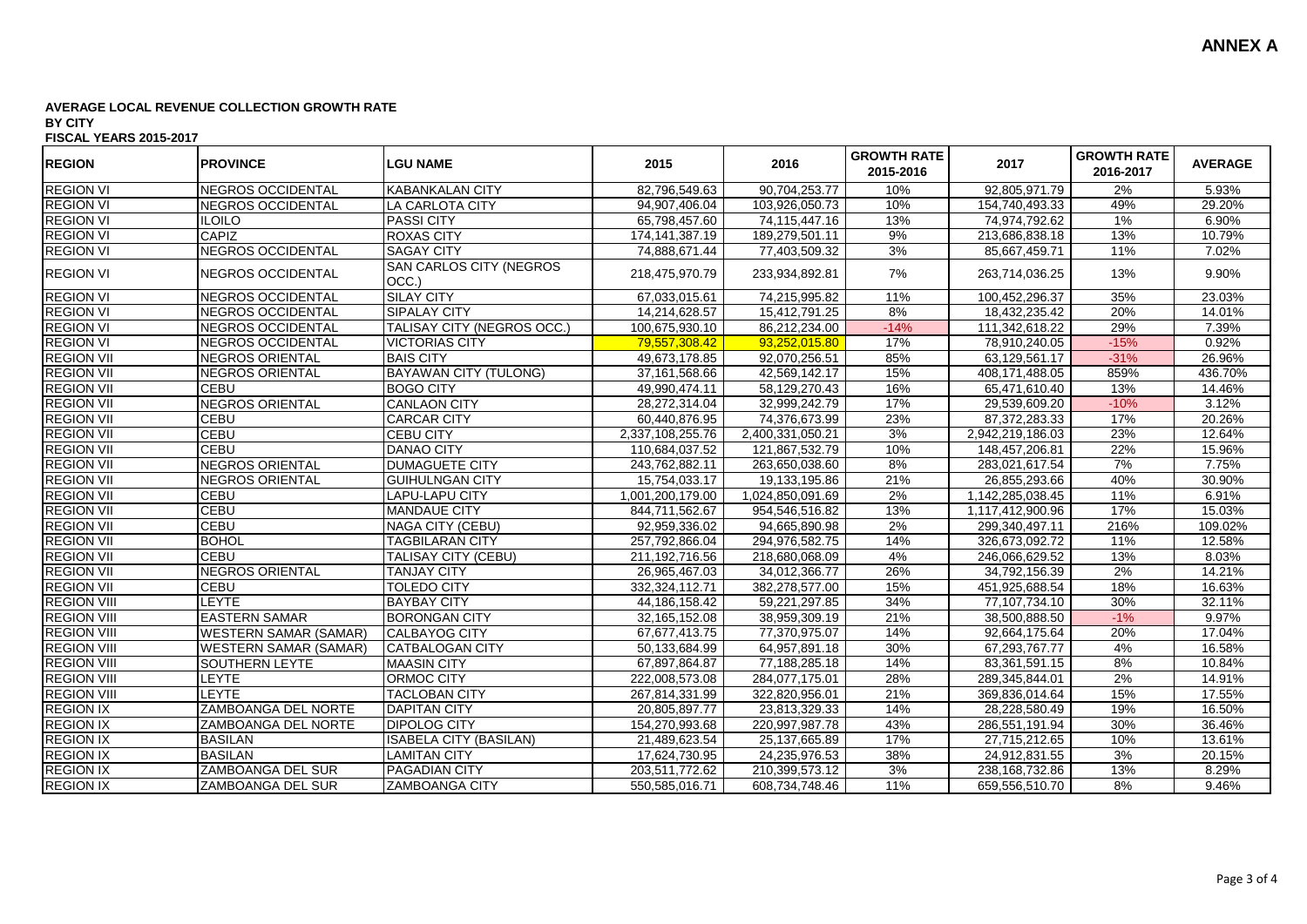| <b>REGION</b>      | <b>PROVINCE</b>              | <b>LGU NAME</b>                   | 2015              | 2016             | <b>GROWTH RATE</b><br>2015-2016 | 2017             | <b>GROWTH RATE</b><br>2016-2017 | <b>AVERAGE</b> |
|--------------------|------------------------------|-----------------------------------|-------------------|------------------|---------------------------------|------------------|---------------------------------|----------------|
| <b>REGION VI</b>   | NEGROS OCCIDENTAL            | <b>KABANKALAN CITY</b>            | 82,796,549.63     | 90,704,253.77    | 10%                             | 92,805,971.79    | 2%                              | 5.93%          |
| <b>REGION VI</b>   | <b>NEGROS OCCIDENTAL</b>     | LA CARLOTA CITY                   | 94,907,406.04     | 103,926,050.73   | 10%                             | 154,740,493.33   | 49%                             | 29.20%         |
| <b>REGION VI</b>   | <b>ILOILO</b>                | <b>PASSI CITY</b>                 | 65,798,457.60     | 74,115,447.16    | 13%                             | 74,974,792.62    | 1%                              | 6.90%          |
| <b>REGION VI</b>   | <b>CAPIZ</b>                 | <b>ROXAS CITY</b>                 | 174, 141, 387. 19 | 189,279,501.11   | 9%                              | 213,686,838.18   | 13%                             | 10.79%         |
| <b>REGION VI</b>   | NEGROS OCCIDENTAL            | <b>SAGAY CITY</b>                 | 74,888,671.44     | 77,403,509.32    | 3%                              | 85,667,459.71    | 11%                             | 7.02%          |
| <b>REGION VI</b>   | NEGROS OCCIDENTAL            | SAN CARLOS CITY (NEGROS<br>OCC.)  | 218,475,970.79    | 233,934,892.81   | 7%                              | 263,714,036.25   | 13%                             | 9.90%          |
| <b>REGION VI</b>   | <b>NEGROS OCCIDENTAL</b>     | <b>SILAY CITY</b>                 | 67,033,015.61     | 74,215,995.82    | 11%                             | 100,452,296.37   | 35%                             | 23.03%         |
| <b>REGION VI</b>   | NEGROS OCCIDENTAL            | <b>SIPALAY CITY</b>               | 14,214,628.57     | 15,412,791.25    | 8%                              | 18,432,235.42    | 20%                             | 14.01%         |
| <b>REGION VI</b>   | <b>NEGROS OCCIDENTAL</b>     | <b>TALISAY CITY (NEGROS OCC.)</b> | 100,675,930.10    | 86,212,234.00    | $-14%$                          | 111,342,618.22   | 29%                             | 7.39%          |
| <b>REGION VI</b>   | <b>NEGROS OCCIDENTAL</b>     | <b>VICTORIAS CITY</b>             | 79.557.308.42     | 93,252,015.80    | 17%                             | 78,910,240.05    | $-15%$                          | 0.92%          |
| <b>REGION VII</b>  | NEGROS ORIENTAL              | <b>BAIS CITY</b>                  | 49,673,178.85     | 92,070,256.51    | 85%                             | 63,129,561.17    | $-31%$                          | 26.96%         |
| <b>REGION VII</b>  | <b>NEGROS ORIENTAL</b>       | <b>BAYAWAN CITY (TULONG)</b>      | 37, 161, 568.66   | 42,569,142.17    | 15%                             | 408,171,488.05   | 859%                            | 436.70%        |
| <b>REGION VII</b>  | <b>CEBU</b>                  | <b>BOGO CITY</b>                  | 49,990,474.11     | 58,129,270.43    | 16%                             | 65,471,610.40    | 13%                             | 14.46%         |
| <b>REGION VII</b>  | NEGROS ORIENTAL              | <b>CANLAON CITY</b>               | 28,272,314.04     | 32,999,242.79    | 17%                             | 29,539,609.20    | $-10%$                          | 3.12%          |
| <b>REGION VII</b>  | <b>CEBU</b>                  | <b>CARCAR CITY</b>                | 60,440,876.95     | 74,376,673.99    | 23%                             | 87,372,283.33    | 17%                             | 20.26%         |
| <b>REGION VII</b>  | CEBU                         | <b>CEBU CITY</b>                  | 2,337,108,255.76  | 2,400,331,050.21 | 3%                              | 2,942,219,186.03 | 23%                             | 12.64%         |
| <b>REGION VII</b>  | <b>CEBU</b>                  | DANAO CITY                        | 110,684,037.52    | 121,867,532.79   | 10%                             | 148,457,206.81   | 22%                             | 15.96%         |
| <b>REGION VII</b>  | NEGROS ORIENTAL              | <b>DUMAGUETE CITY</b>             | 243,762,882.11    | 263,650,038.60   | 8%                              | 283,021,617.54   | 7%                              | 7.75%          |
| <b>REGION VII</b>  | <b>NEGROS ORIENTAL</b>       | <b>GUIHULNGAN CITY</b>            | 15,754,033.17     | 19,133,195.86    | 21%                             | 26,855,293.66    | 40%                             | 30.90%         |
| <b>REGION VII</b>  | CEBU                         | LAPU-LAPU CITY                    | 1,001,200,179.00  | 1,024,850,091.69 | 2%                              | 1,142,285,038.45 | 11%                             | 6.91%          |
| <b>REGION VII</b>  | <b>CEBU</b>                  | <b>MANDAUE CITY</b>               | 844,711,562.67    | 954,546,516.82   | 13%                             | 1,117,412,900.96 | 17%                             | 15.03%         |
| <b>REGION VII</b>  | <b>CEBU</b>                  | <b>NAGA CITY (CEBU)</b>           | 92,959,336.02     | 94,665,890.98    | 2%                              | 299,340,497.11   | 216%                            | 109.02%        |
| <b>REGION VII</b>  | <b>BOHOL</b>                 | <b>TAGBILARAN CITY</b>            | 257,792,866.04    | 294,976,582.75   | 14%                             | 326,673,092.72   | 11%                             | 12.58%         |
| <b>REGION VII</b>  | CEBU                         | TALISAY CITY (CEBU)               | 211, 192, 716.56  | 218,680,068.09   | 4%                              | 246,066,629.52   | 13%                             | 8.03%          |
| <b>REGION VII</b>  | <b>NEGROS ORIENTAL</b>       | <b>TANJAY CITY</b>                | 26,965,467.03     | 34,012,366.77    | 26%                             | 34,792,156.39    | 2%                              | 14.21%         |
| <b>REGION VII</b>  | <b>CEBU</b>                  | <b>TOLEDO CITY</b>                | 332,324,112.71    | 382,278,577.00   | 15%                             | 451,925,688.54   | 18%                             | 16.63%         |
| <b>REGION VIII</b> | <b>LEYTE</b>                 | <b>BAYBAY CITY</b>                | 44, 186, 158. 42  | 59,221,297.85    | 34%                             | 77,107,734.10    | 30%                             | 32.11%         |
| <b>REGION VIII</b> | <b>EASTERN SAMAR</b>         | <b>IBORONGAN CITY</b>             | 32, 165, 152.08   | 38,959,309.19    | 21%                             | 38,500,888.50    | $-1%$                           | 9.97%          |
| <b>REGION VIII</b> | <b>WESTERN SAMAR (SAMAR)</b> | <b>CALBAYOG CITY</b>              | 67,677,413.75     | 77,370,975.07    | 14%                             | 92,664,175.64    | 20%                             | 17.04%         |
| <b>REGION VIII</b> | <b>WESTERN SAMAR (SAMAR)</b> | <b>CATBALOGAN CITY</b>            | 50,133,684.99     | 64,957,891.18    | 30%                             | 67,293,767.77    | 4%                              | 16.58%         |
| <b>REGION VIII</b> | SOUTHERN LEYTE               | <b>MAASIN CITY</b>                | 67,897,864.87     | 77,188,285.18    | 14%                             | 83,361,591.15    | 8%                              | 10.84%         |
| <b>REGION VIII</b> | LEYTE                        | <b>ORMOC CITY</b>                 | 222,008,573.08    | 284,077,175.01   | 28%                             | 289,345,844.01   | 2%                              | 14.91%         |
| <b>REGION VIII</b> | <b>LEYTE</b>                 | <b>TACLOBAN CITY</b>              | 267,814,331.99    | 322,820,956.01   | 21%                             | 369,836,014.64   | 15%                             | 17.55%         |
| <b>REGION IX</b>   | ZAMBOANGA DEL NORTE          | <b>DAPITAN CITY</b>               | 20,805,897.77     | 23,813,329.33    | 14%                             | 28,228,580.49    | 19%                             | 16.50%         |
| <b>REGION IX</b>   | ZAMBOANGA DEL NORTE          | <b>DIPOLOG CITY</b>               | 154,270,993.68    | 220,997,987.78   | 43%                             | 286,551,191.94   | 30%                             | 36.46%         |
| <b>REGION IX</b>   | <b>BASILAN</b>               | <b>ISABELA CITY (BASILAN)</b>     | 21,489,623.54     | 25, 137, 665.89  | 17%                             | 27,715,212.65    | 10%                             | 13.61%         |
| <b>REGION IX</b>   | <b>BASILAN</b>               | <b>LAMITAN CITY</b>               | 17,624,730.95     | 24,235,976.53    | 38%                             | 24,912,831.55    | 3%                              | 20.15%         |
| <b>REGION IX</b>   | <b>ZAMBOANGA DEL SUR</b>     | <b>PAGADIAN CITY</b>              | 203,511,772.62    | 210,399,573.12   | 3%                              | 238, 168, 732.86 | 13%                             | 8.29%          |
| <b>REGION IX</b>   | ZAMBOANGA DEL SUR            | <b>ZAMBOANGA CITY</b>             | 550,585,016.71    | 608,734,748.46   | 11%                             | 659,556,510.70   | 8%                              | 9.46%          |